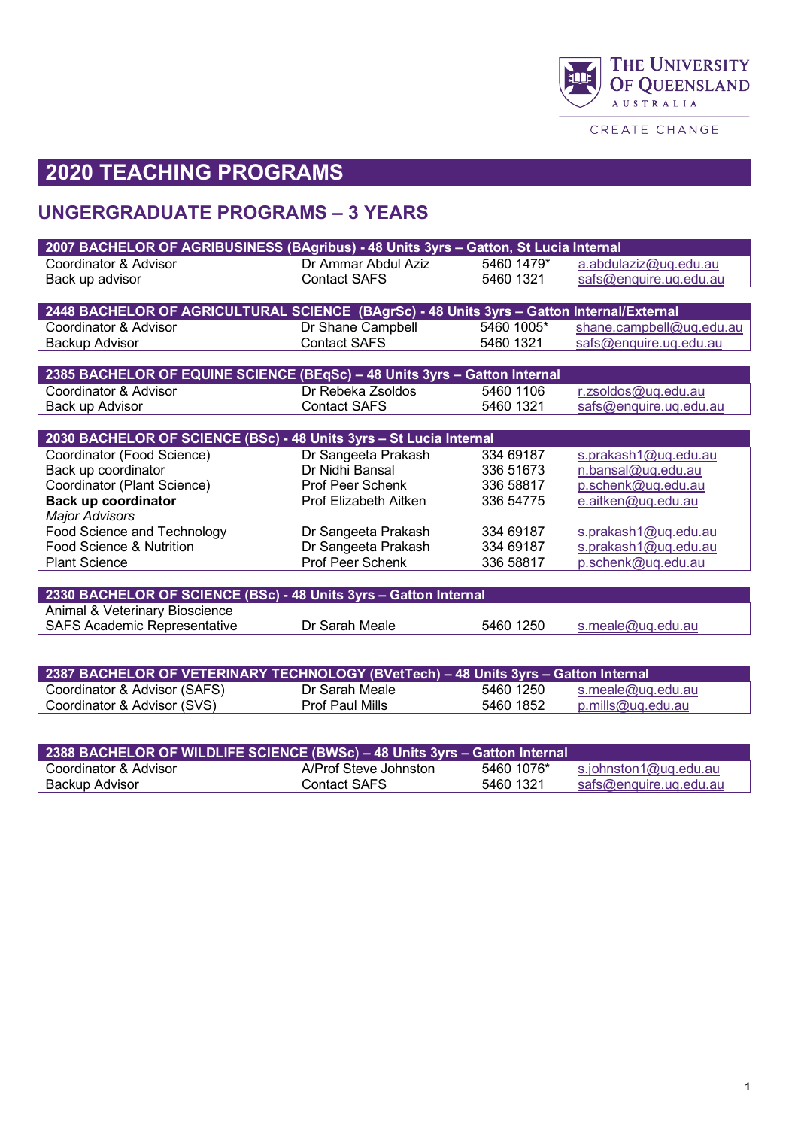

CREATE CHANGE

# **2020 TEACHING PROGRAMS**

## **UNGERGRADUATE PROGRAMS – 3 YEARS**

| 2007 BACHELOR OF AGRIBUSINESS (BAgribus) - 48 Units 3yrs - Gatton, St Lucia Internal      |                       |                          |                                      |
|-------------------------------------------------------------------------------------------|-----------------------|--------------------------|--------------------------------------|
| Coordinator & Advisor                                                                     | Dr Ammar Abdul Aziz   | 5460 1479*               | a.abdulaziz@uq.edu.au                |
| Back up advisor                                                                           | <b>Contact SAFS</b>   | 5460 1321                | safs@enquire.uq.edu.au               |
|                                                                                           |                       |                          |                                      |
| 2448 BACHELOR OF AGRICULTURAL SCIENCE (BAgrSc) - 48 Units 3yrs - Gatton Internal/External |                       |                          |                                      |
| Coordinator & Advisor                                                                     | Dr Shane Campbell     | 5460 1005*               | shane.campbell@uq.edu.au             |
| Backup Advisor                                                                            | <b>Contact SAFS</b>   | 5460 1321                | safs@enquire.uq.edu.au               |
|                                                                                           |                       |                          |                                      |
| 2385 BACHELOR OF EQUINE SCIENCE (BEqSc) - 48 Units 3yrs - Gatton Internal                 |                       |                          |                                      |
| Coordinator & Advisor                                                                     | Dr Rebeka Zsoldos     | 5460 1106                | r.zsoldos@uq.edu.au                  |
| Back up Advisor                                                                           | <b>Contact SAFS</b>   | 5460 1321                | safs@enquire.uq.edu.au               |
|                                                                                           |                       |                          |                                      |
| 2030 BACHELOR OF SCIENCE (BSc) - 48 Units 3yrs - St Lucia Internal                        |                       |                          |                                      |
| Coordinator (Food Science)                                                                | Dr Sangeeta Prakash   | 334 69187                | s.prakash1@uq.edu.au                 |
| Back up coordinator                                                                       | Dr Nidhi Bansal       | 336 51673                | n.bansal@uq.edu.au                   |
| Coordinator (Plant Science)                                                               | Prof Peer Schenk      | 336 58817                | p.schenk@uq.edu.au                   |
| Back up coordinator                                                                       | Prof Elizabeth Aitken | 336 54775                | e.aitken@uq.edu.au                   |
| <b>Major Advisors</b>                                                                     |                       |                          |                                      |
| Food Science and Technology                                                               | Dr Sangeeta Prakash   | 334 69187                | s.prakash1@uq.edu.au                 |
| Food Science & Nutrition                                                                  | Dr Sangeeta Prakash   | 334 69187                | s.prakash1@uq.edu.au                 |
| <b>Plant Science</b>                                                                      | Prof Peer Schenk      | 336 58817                | p.schenk@uq.edu.au                   |
|                                                                                           |                       |                          |                                      |
| 2330 BACHELOR OF SCIENCE (BSc) - 48 Units 3yrs - Gatton Internal                          |                       |                          |                                      |
| Animal & Veterinary Bioscience                                                            |                       |                          |                                      |
| <b>SAFS Academic Representative</b>                                                       | Dr Sarah Meale        | 5460 1250                | s.meale@uq.edu.au                    |
|                                                                                           |                       |                          |                                      |
|                                                                                           |                       |                          |                                      |
| <b>0007 BAOUELOB OF VETEBINA BY TEQUNOLOGY (BV-4T--L)</b>                                 |                       | <b>AO I Lutter Order</b> | <b><i>Continued believes all</i></b> |

| 2387 BACHELOR OF VETERINARY TECHNOLOGY (BVetTech) - 48 Units 3yrs - Gatton Internal |                        |           |                   |
|-------------------------------------------------------------------------------------|------------------------|-----------|-------------------|
| Coordinator & Advisor (SAFS)                                                        | Dr Sarah Meale         | 5460 1250 | s.meale@uq.edu.au |
| Coordinator & Advisor (SVS)                                                         | <b>Prof Paul Mills</b> | 5460 1852 | p.mills@uq.edu.au |

| 2388 BACHELOR OF WILDLIFE SCIENCE (BWSc) - 48 Units 3yrs - Gatton Internal |                       |            |                        |  |  |
|----------------------------------------------------------------------------|-----------------------|------------|------------------------|--|--|
| Coordinator & Advisor                                                      | A/Prof Steve Johnston | 5460 1076* | s.johnston1@uq.edu.au  |  |  |
| Backup Advisor                                                             | Contact SAFS          | 5460 1321  | safs@enquire.uq.edu.au |  |  |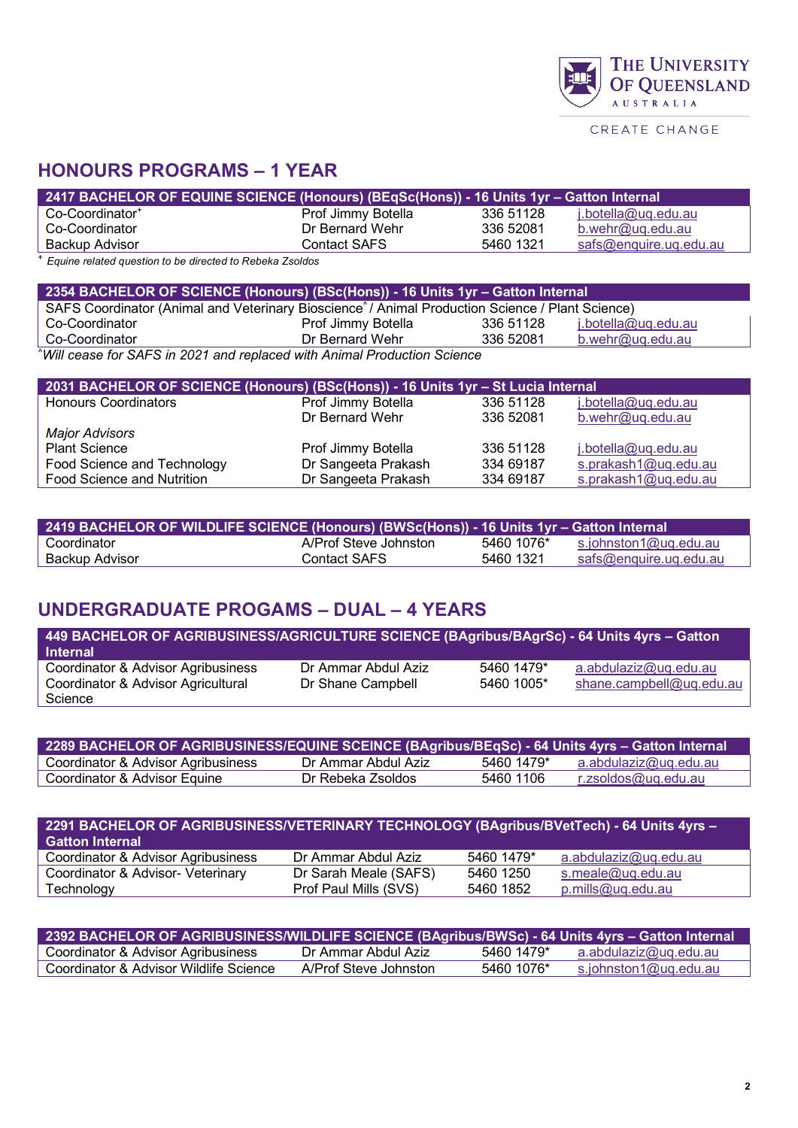|  |  |  | <b>AUSTRALIA</b> |  |                |  |
|--|--|--|------------------|--|----------------|--|
|  |  |  |                  |  | ONE ATE CUANOE |  |

THE UNIVERSITY<br>OF QUEENSLAND

CREATE CHANGE

## **HONOURS PROGRAMS – 1 YEAR**

| <u> 2417 BACHELOR OF EQUINE SCIENCE (Honours) (BEqSc(Hons)) - 16 Units 1yr – Gatton Internal (</u> |                    |           |                            |
|----------------------------------------------------------------------------------------------------|--------------------|-----------|----------------------------|
| Co-Coordinator <sup>+</sup>                                                                        | Prof Jimmy Botella | 336 51128 | <u>j.botella@uq.edu.au</u> |
| Co-Coordinator                                                                                     | Dr Bernard Wehr    | 336 52081 | $b$ .wehr@uq.edu.au        |
| Backup Advisor                                                                                     | Contact SAFS       | 5460 1321 | safs@enquire.uq.edu.au     |
|                                                                                                    |                    |           |                            |

<sup>+</sup> *Equine related question to be directed to Rebeka Zsoldos*

| 2354 BACHELOR OF SCIENCE (Honours) (BSc(Hons)) - 16 Units 1yr - Gatton Internal                                             |                    |           |                            |  |  |
|-----------------------------------------------------------------------------------------------------------------------------|--------------------|-----------|----------------------------|--|--|
| SAFS Coordinator (Animal and Veterinary Bioscience <sup><math>\land</math></sup> Animal Production Science / Plant Science) |                    |           |                            |  |  |
| Co-Coordinator                                                                                                              | Prof Jimmy Botella | 336 51128 | <u>j.botella@uq.edu.au</u> |  |  |
| 336 52081<br>Co-Coordinator<br>Dr Bernard Wehr<br>$b.$ wehr@uq.edu.au                                                       |                    |           |                            |  |  |
| "Will cease for SAFS in 2021 and replaced with Animal Production Science                                                    |                    |           |                            |  |  |

| 2031 BACHELOR OF SCIENCE (Honours) (BSc(Hons)) - 16 Units 1yr - St Lucia Internal |                     |           |                      |  |  |
|-----------------------------------------------------------------------------------|---------------------|-----------|----------------------|--|--|
| <b>Honours Coordinators</b>                                                       | Prof Jimmy Botella  | 336 51128 | j.botella@uq.edu.au  |  |  |
|                                                                                   | Dr Bernard Wehr     | 336 52081 | $b$ .wehr@uq.edu.au  |  |  |
| <b>Major Advisors</b>                                                             |                     |           |                      |  |  |
| <b>Plant Science</b>                                                              | Prof Jimmy Botella  | 336 51128 | j.botella@uq.edu.au  |  |  |
| Food Science and Technology                                                       | Dr Sangeeta Prakash | 334 69187 | s.prakash1@uq.edu.au |  |  |
| Food Science and Nutrition                                                        | Dr Sangeeta Prakash | 334 69187 | s.prakash1@uq.edu.au |  |  |

| 2419 BACHELOR OF WILDLIFE SCIENCE (Honours) (BWSc(Hons)) - 16 Units 1yr – Gatton Internal |                       |            |                        |  |  |
|-------------------------------------------------------------------------------------------|-----------------------|------------|------------------------|--|--|
| Coordinator                                                                               | A/Prof Steve Johnston | 5460 1076* | s.johnston1@ug.edu.au  |  |  |
| Backup Advisor                                                                            | Contact SAFS          | 5460 1321  | safs@enquire.ug.edu.au |  |  |

## **UNDERGRADUATE PROGAMS – DUAL – 4 YEARS**

| <u> 449 BACHELOR OF AGRIBUSINESS/AGRICULTURE SCIENCE (BAgribus/BAgrSc) - 64 Units 4yrs – Gatton </u><br><b>Internal</b> |                     |            |                          |
|-------------------------------------------------------------------------------------------------------------------------|---------------------|------------|--------------------------|
| Coordinator & Advisor Agribusiness                                                                                      | Dr Ammar Abdul Aziz | 5460 1479* | a.abdulaziz@uq.edu.au    |
| Coordinator & Advisor Agricultural                                                                                      | Dr Shane Campbell   | 5460 1005* | shane.campbell@uq.edu.au |
| Science                                                                                                                 |                     |            |                          |

| 2289 BACHELOR OF AGRIBUSINESS/EQUINE SCEINCE (BAgribus/BEqSc) - 64 Units 4yrs - Gatton Internal |                     |            |                       |  |  |  |
|-------------------------------------------------------------------------------------------------|---------------------|------------|-----------------------|--|--|--|
| Coordinator & Advisor Agribusiness                                                              | Dr Ammar Abdul Aziz | 5460 1479* | a.abdulaziz@ug.edu.au |  |  |  |
| Coordinator & Advisor Equine                                                                    | Dr Rebeka Zsoldos.  | 5460 1106  | r.zsoldos@uq.edu.au   |  |  |  |

| 2291 BACHELOR OF AGRIBUSINESS/VETERINARY TECHNOLOGY (BAgribus/BVetTech) - 64 Units 4yrs -<br><b>Gatton Internal</b> |                       |            |                       |  |  |  |
|---------------------------------------------------------------------------------------------------------------------|-----------------------|------------|-----------------------|--|--|--|
| <b>Coordinator &amp; Advisor Agribusiness</b>                                                                       | Dr Ammar Abdul Aziz   | 5460 1479* | a.abdulaziz@uq.edu.au |  |  |  |
| Coordinator & Advisor- Veterinary                                                                                   | Dr Sarah Meale (SAFS) | 5460 1250  | s.meale@uq.edu.au     |  |  |  |
| Technology                                                                                                          | Prof Paul Mills (SVS) | 5460 1852  | p.mills@uq.edu.au     |  |  |  |

| <u> 2392 BACHELOR OF AGRIBUSINESS/WILDLIFE SCIENCE (BAgribus/BWSc) - 64 Units 4yrs – Gatton Internal (</u> |                       |            |                       |
|------------------------------------------------------------------------------------------------------------|-----------------------|------------|-----------------------|
| Coordinator & Advisor Agribusiness                                                                         | Dr Ammar Abdul Aziz   | 5460 1479* | a.abdulaziz@uq.edu.au |
| Coordinator & Advisor Wildlife Science                                                                     | A/Prof Steve Johnston | 5460 1076* | s.johnston1@uq.edu.au |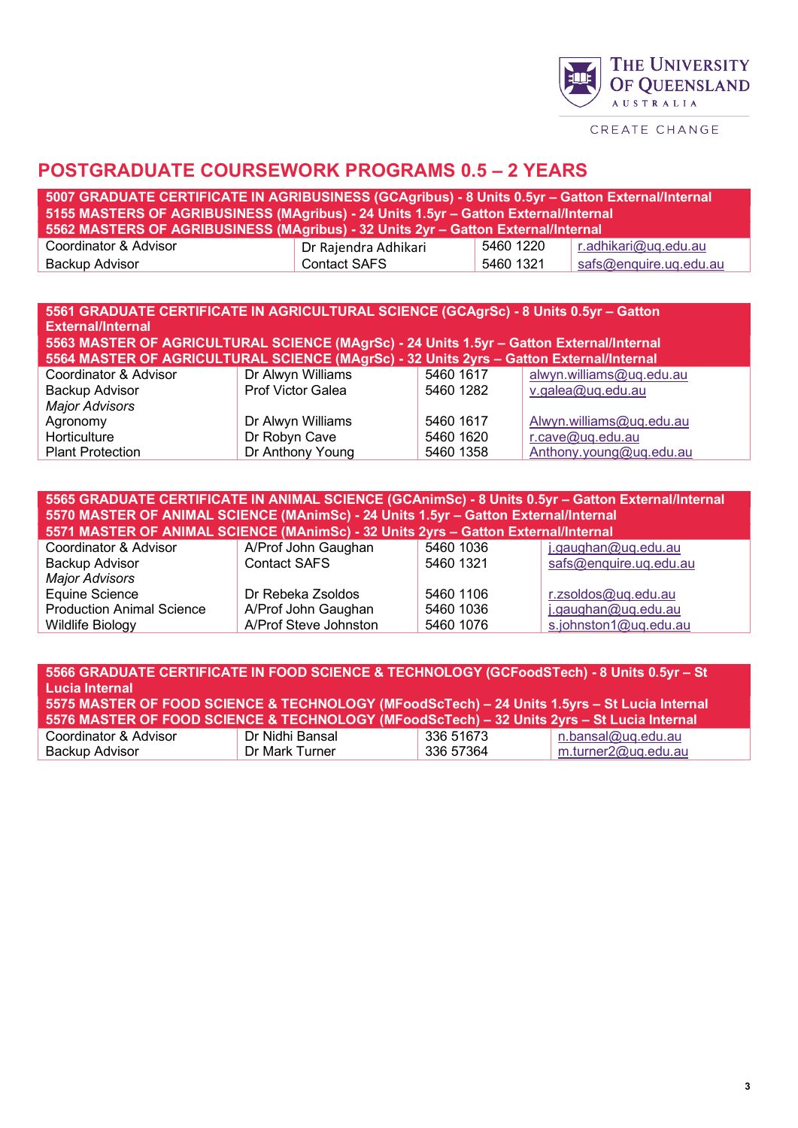

CREATE CHANGE

#### **POSTGRADUATE COURSEWORK PROGRAMS 0.5 – 2 YEARS**

| <u>, 5007 GRADUATE CERTIFICATE IN AGRIBUSINESS (GCAgribus) - 8 Units 0.5yr – Gatton External/Internal</u> |                      |           |                        |  |
|-----------------------------------------------------------------------------------------------------------|----------------------|-----------|------------------------|--|
| 5155 MASTERS OF AGRIBUSINESS (MAgribus) - 24 Units 1.5yr - Gatton External/Internal                       |                      |           |                        |  |
| 5562 MASTERS OF AGRIBUSINESS (MAgribus) - 32 Units 2yr – Gatton External/Internal                         |                      |           |                        |  |
| Coordinator & Advisor                                                                                     | Dr Rajendra Adhikari | 5460 1220 | r.adhikari@uq.edu.au   |  |
| Backup Advisor                                                                                            | <b>Contact SAFS</b>  | 5460 1321 | safs@enquire.uq.edu.au |  |

#### **5561 GRADUATE CERTIFICATE IN AGRICULTURAL SCIENCE (GCAgrSc) - 8 Units 0.5yr – Gatton External/Internal 5563 MASTER OF AGRICULTURAL SCIENCE (MAgrSc) - 24 Units 1.5yr – Gatton External/Internal**

| 5564 MASTER OF AGRICULTURAL SCIENCE (MAgrSc) - 32 Units 2yrs – Gatton External/Internal |                   |           |                          |
|-----------------------------------------------------------------------------------------|-------------------|-----------|--------------------------|
| Coordinator & Advisor                                                                   | Dr Alwyn Williams | 5460 1617 | alwyn.williams@uq.edu.au |
| <b>Backup Advisor</b>                                                                   | Prof Victor Galea | 5460 1282 | v.galea@uq.edu.au        |
| <b>Major Advisors</b>                                                                   |                   |           |                          |
| Agronomy                                                                                | Dr Alwyn Williams | 5460 1617 | Alwyn.williams@uq.edu.au |
| Horticulture                                                                            | Dr Robyn Cave     | 5460 1620 | r.cave@uq.edu.au         |
| <b>Plant Protection</b>                                                                 | Dr Anthony Young  | 5460 1358 | Anthony.young@uq.edu.au  |

| 5565 GRADUATE CERTIFICATE IN ANIMAL SCIENCE (GCAnimSc) - 8 Units 0.5yr - Gatton External/Internal<br>5570 MASTER OF ANIMAL SCIENCE (MAnimSc) - 24 Units 1.5yr - Gatton External/Internal<br>5571 MASTER OF ANIMAL SCIENCE (MAnimSc) - 32 Units 2yrs - Gatton External/Internal |                       |           |                        |
|--------------------------------------------------------------------------------------------------------------------------------------------------------------------------------------------------------------------------------------------------------------------------------|-----------------------|-----------|------------------------|
| Coordinator & Advisor                                                                                                                                                                                                                                                          | A/Prof John Gaughan   | 5460 1036 | j.gaughan@uq.edu.au    |
| Backup Advisor                                                                                                                                                                                                                                                                 | <b>Contact SAFS</b>   | 5460 1321 | safs@enquire.uq.edu.au |
| <b>Major Advisors</b>                                                                                                                                                                                                                                                          |                       |           |                        |
| Equine Science                                                                                                                                                                                                                                                                 | Dr Rebeka Zsoldos     | 5460 1106 | r.zsoldos@uq.edu.au    |
| <b>Production Animal Science</b>                                                                                                                                                                                                                                               | A/Prof John Gaughan   | 5460 1036 | j.gaughan@ug.edu.au    |
| Wildlife Biology                                                                                                                                                                                                                                                               | A/Prof Steve Johnston | 5460 1076 | s.johnston1@uq.edu.au  |

| 5566 GRADUATE CERTIFICATE IN FOOD SCIENCE & TECHNOLOGY (GCFoodSTech) - 8 Units 0.5yr - St<br><b>Lucia Internal</b><br>5575 MASTER OF FOOD SCIENCE & TECHNOLOGY (MFoodScTech) - 24 Units 1.5yrs - St Lucia Internal<br>5576 MASTER OF FOOD SCIENCE & TECHNOLOGY (MFoodScTech) - 32 Units 2yrs - St Lucia Internal |                 |           |                     |  |
|------------------------------------------------------------------------------------------------------------------------------------------------------------------------------------------------------------------------------------------------------------------------------------------------------------------|-----------------|-----------|---------------------|--|
| Coordinator & Advisor                                                                                                                                                                                                                                                                                            | Dr Nidhi Bansal | 336 51673 | n.bansal@uq.edu.au  |  |
| Backup Advisor                                                                                                                                                                                                                                                                                                   | Dr Mark Turner  | 336 57364 | m.turner2@uq.edu.au |  |